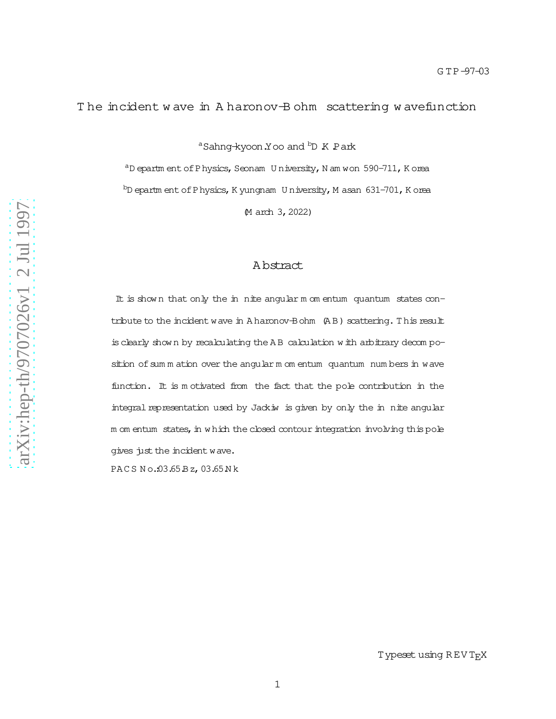## T he incident w ave in A haronov-B ohm scattering w avefunctio n

<sup>a</sup>Sahng<del>-</del>kyoon.Yoo and <sup>b</sup>D K Park

 $a<sup>a</sup>D$  epartm ent of Physics, Seonam U niversity, N am won 590-711, K orea  $b$ D epartm ent of Physics, K yungnam U niversity, M asan 631-701, K orea

(M arch 3,2022)

## A bstract

It is shown that only the in nite angular m om entum quantum states contribute to the incident wave in A haronov-Bohm  $(AB)$  scattering. This result isclearly show n by recalculating the A B calculation w ith arbitrary decom position of sum m ation over the angular m om entum quantum num bers in wave function. It is m otivated from the fact that the pole contribution in the integral representation used by Jackiw is given by only the in nite angular m om entum states, in w hich the closed contour integration involving this pole gives just the incident wave. PAC S N o.:03.65.Bz,03.65.N k

Type<mark>set usin</mark>g REVT<sub>E</sub>X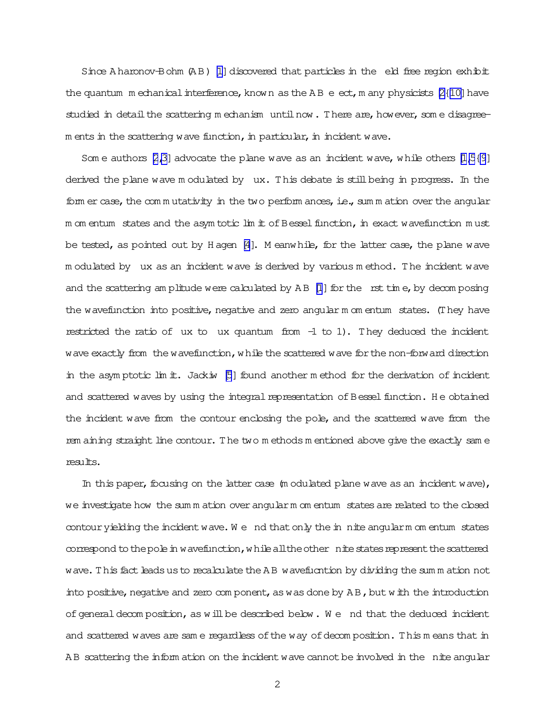Since A haronov-Bohm  $(AB)$  [\[1\]](#page-8-0) discovered that particles in the eld free region exhibit the quantum m echanical interference, known as the A B e ect, m any physicists  $[2(10)]$  have studied in detail the scattering m echanism until now. There are, however, som e disagree $m$  ents in the scattering wave function, in particular, in incident wave.

Som e authors [\[2,3\]](#page-8-0) advocate the plane wave as an incident wave, while others  $[1,5\{9]$ derived the plane wave m odulated by 
ux. This debate is stillbeing in progress. In the form er case, the commutativity in the two perform ances, i.e., sum m ation over the angular m om entum states and the asym totic  $\lim_{n \to \infty}$  of Bessel function, in exact wavefunction must be tested, as pointed out by H agen  $[4]$ . M eanwhile, for the latter case, the plane wave m odulated by 
ux as an incident wave is derived by various m ethod. The incident wave and the scattering am plitude were calculated by  $AB$  [\[1](#page-8-0)] for the rst time, by decomposing the wavefunction into positive, negative and zero angular m om entum states. (They have restricted the ratio of ux to ux quantum from  $-1$  to 1). They deduced the incident wave exactly from the wavefunction, while the scattered wave for the non-forward direction in the asymptotic lim it. Jackiw  $[5]$  found another m ethod for the derivation of incident and scattered waves by using the integral representation of Bessel function. He obtained the incident wave from the contour enclosing the pole, and the scattered wave from the rem aining straight line contour. The two m ethods m entioned above give the exactly sam e results.

In this paper, focusing on the latter case  $(m$  odulated plane wave as an incident wave), we investigate how the sum m ation overangularm om entum statesare related to the closed contour yielding the incident wave. We nd that only the in nite angularm om entum states correspond to the pole in wavefunction, while all the other nite states represent the scattered wave. This fact leads us to recalculate the A B wavefucntion by dividing the summ ation not into positive, negative and zero com ponent, as was done by  $AB$ , but with the introduction of general decom position, as will be described below. We nd that the deduced incident and scattered waves are same regardless of the way of decomposition. This means that in AB scattering the inform ation on the incident wave cannot be involved in the nite angular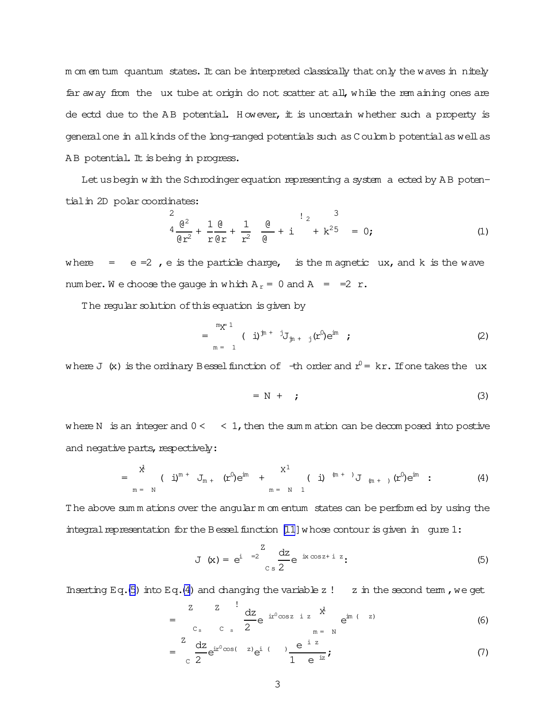<span id="page-2-0"></span>m om em tum quantum states. It can be interpreted classically that only the waves in nitely far away from the ux tube at origin do not scatter at all, while the rem aining ones are de ectd due to the AB potential. However, it is uncertain whether such a property is general one in all kinds of the long-ranged potentials such as Coulomb potential as well as AB potential. It is being in progress.

Let us begin with the Schrodinger equation representing a system a ected by AB potential in 2D polar coordinates:

$$
\frac{2}{4} \frac{\theta^2}{\theta r^2} + \frac{1}{r} \frac{\theta}{\theta r} + \frac{1}{r^2} \frac{\theta}{\theta} + i \frac{1}{2} k^2 = 0; \tag{1}
$$

where  $=$   $e = 2$ ,  $e$  is the particle charge, is the magnetic ux, and k is the wave number. We choose the gauge in which  $A_r = 0$  and  $A = =2 r$ .

The regular solution of this equation is given by

$$
= \sum_{m=1}^{m} (\mathbf{i})^{\mathbf{j}n + \mathbf{j}} J_{\mathbf{j}n + \mathbf{j}} (\mathbf{r}^0) e^{\mathbf{i}m} ; \qquad (2)
$$

where J (x) is the ordinary Bessel function of  $-$ th order and  $r^0$  = kr. If one takes the ux

$$
= N + ; \tag{3}
$$

where N is an integer and  $0 <$  < 1, then the sum m ation can be decomposed into postive and negative parts, respectively:

$$
= \frac{x^{\frac{1}{4}}}{m} \left( i \right)^{m} + J_{m+} (r^{0}) e^{im} + \frac{x^{1}}{m} \left( i \right)^{(m+)} J_{m+} (r^{0}) e^{im} : \qquad (4)
$$

The above sum m ations over the angular m om entum states can be perform ed by using the integral representation for the Bessel function  $[11]$  whose contour is given in gure 1:

$$
J(x) = e^{i \int_{c}^{z} =2} \frac{dz}{2} e^{ix \cos z + i z}.
$$
 (5)

Inserting Eq. (5) into Eq. (4) and changing the variable z ! z in the second term, we get

$$
= \frac{z}{c_s} = \frac{z}{c_s} \frac{dz}{2} e^{i r^0 \cos z} = \frac{x^1}{n} e^{i m} (-z)
$$
 (6)

$$
= \frac{z}{c} \frac{dz}{2} e^{ir^0 \cos(-z)} e^{i(-z)} \frac{e^{-iz}}{1 - e^{-iz}};
$$
 (7)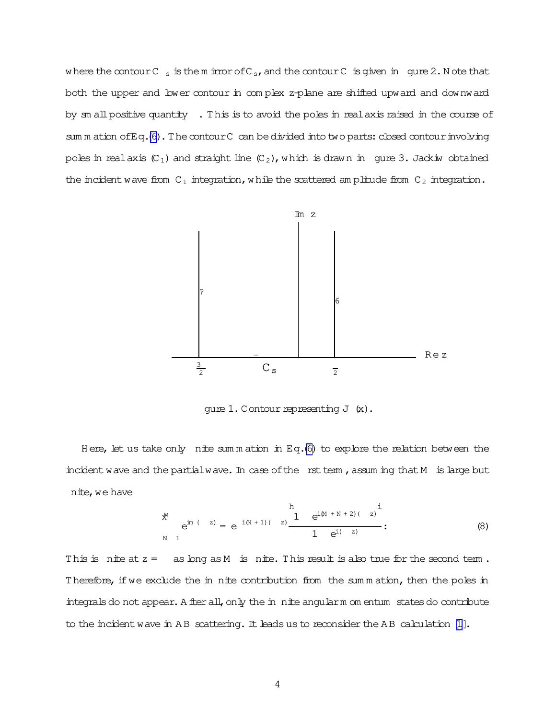where the contour  $C_{s}$  is the m irror of  $C_{s}$ , and the contour  $C_{s}$  is given in gure 2. N ote that both the upper and lower contour in com plex z-plane are shifted upward and downward by sm allpositive quantity . This is to avoid the poles in realaxis raised in the course of sum m ation of Eq.[\(6\)](#page-2-0). The contour C can be divided into two parts: closed contour involving poles in real axis  $(C_1)$  and straight line  $(C_2)$ , which is drawn in gure 3. Jackiw obtained the incident wave from  $C_1$  integration, while the scattered am plitude from  $C_2$  integration.



qure  $1.$  Contour representing  $J(x)$ .

Here, let us take only nite summation in Eq.[\(6\)](#page-2-0) to explore the relation between the incident wave and the partial wave. In case of the rst term, assuming that  $M$  is large but nite, we have

$$
e^{im (z)} = e^{-i(N+1)(z)} \frac{1}{1} e^{i(M+N+2)(z)} \frac{i}{1}
$$
  
\nN 1 (8)

This is nite at  $z =$  as long as M is nite. This result is also true for the second term. Therefore, if we exclude the in nite contribution from the sum m ation, then the poles in integrals do not appear. A fter all, only the in nite angularm om entum states do contribute to the incident wave in AB scattering. It leads us to reconsider the AB calculation [\[1\]](#page-8-0).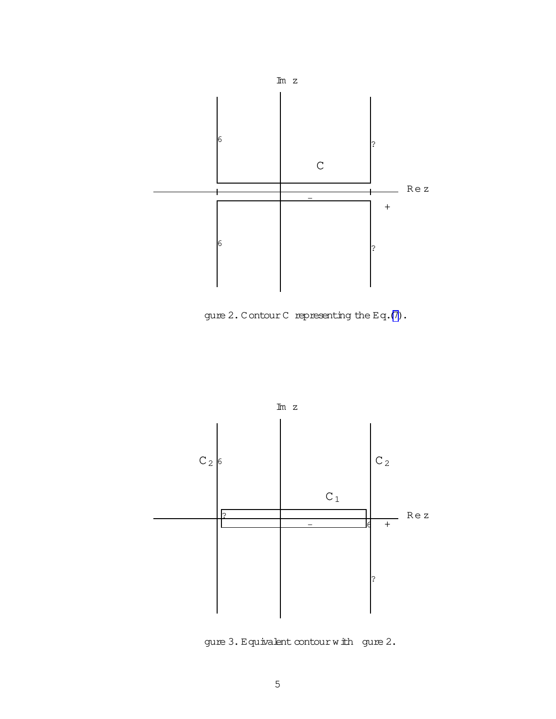

gure 2.ContourC representing the Eq.[\(7\)](#page-2-0).



gure 3. Equivalent contour with gure 2.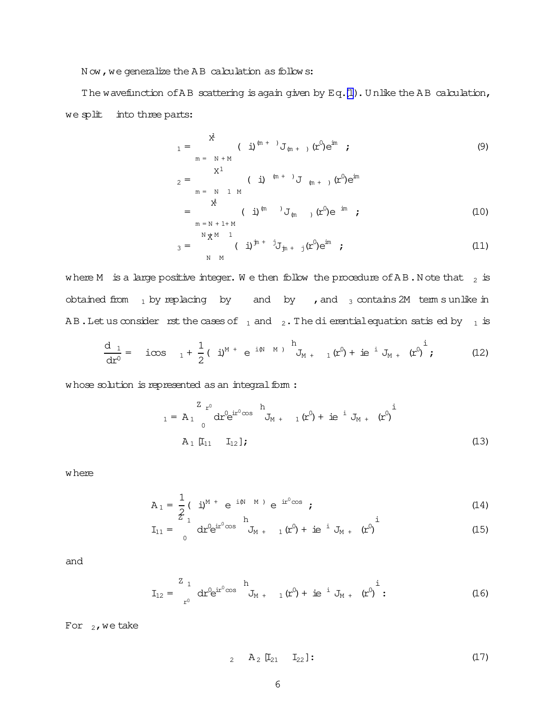Now, we generalize the AB calculation as follows:

The wavefunction of AB scattering is again given by  $Eq.(1)$  $Eq.(1)$  $Eq.(1)$ . Unlike the AB calculation, we split into three parts:

$$
1 = \frac{x^{\frac{3}{4}}}{m} \quad (\text{ i})^{(m + 1)} J_{(m + 1)}(x^{0}) e^{im} ;
$$
  
\n
$$
2 = \frac{x^{1}}{m} \quad (\text{ i})^{(m + 1)} J_{(m + 1)}(x^{0}) e^{im}
$$
  
\n
$$
= \frac{x^{1}}{m} \quad (\text{ i})^{(m + 1)} J_{(m + 1)}(x^{0}) e^{im} ;
$$
  
\n
$$
= \frac{x^{1}}{m} \quad (\text{ i})^{(m + 1)} J_{(m + 1)}(x^{0}) e^{im} ;
$$
  
\n
$$
= \frac{x^{1}}{m} \quad (\text{ i})^{(m + 1)} J_{(m + 1)}(x^{0}) e^{im} ;
$$
  
\n
$$
= \frac{x^{1}}{m} \quad (\text{ i})^{(m + 1)} J_{(m + 1)}(x^{0}) e^{im} ;
$$
  
\n
$$
= \frac{x^{1}}{m} \quad (\text{ i})^{(m + 1)} J_{(m + 1)}(x^{0}) e^{im} ;
$$
  
\n
$$
= \frac{x^{1}}{m} \quad (\text{ ii})^{(m + 1)} J_{(m + 1)}(x^{0}) e^{im} ;
$$
  
\n
$$
= \frac{x^{1}}{m} \quad (\text{ ii})^{(m + 1)} J_{(m + 1)}(x^{0}) e^{im} ;
$$
  
\n
$$
= \frac{x^{1}}{m} \quad (\text{ iii})^{(m + 1)} J_{(m + 1)}(x^{0}) e^{im} ;
$$
  
\n
$$
= \frac{x^{1}}{m} \quad (\text{ iii})^{(m + 1)} J_{(m + 1)}(x^{0}) e^{im} ;
$$
  
\n
$$
= \frac{x^{1}}{m} \quad (\text{ iii})^{(m + 1)} J_{(m + 1)}(x^{0}) e^{im} ;
$$
  
\n
$$
= \frac{x^{1}}{m} \quad (\text{ iii})^{(m + 1)} J_{(m + 1)}(x^{0}) e^{im} ;
$$
  
\n
$$
= \frac{x^{1}}{m} \quad (\text{ iii})^{(m + 1)} J_{(m + 1)}(x^{0}) e^{im} ;
$$
  
\n<math display="</math>

$$
A_{3} = \int_{N-M}^{N} (\dot{u})^{jn + j} J_{jn + j}(r^{0}) e^{im} ; \qquad (11)
$$

where M is a large positive integer. We then follow the procedure of AB.N ote that  $_2$  is obtained from  $_1$  by replacing by and by , and  $_3$  contains 2M term s unlike in AB. Let us consider rst the cases of  $_1$  and  $_2$ . The dierential equation satis ed by  $_1$  is

$$
\frac{d_1}{dx^0} = i\cos \t 1 + \frac{1}{2} (i)^{M} + e^{i(N-M)} \t {1 \atop J_{M+}} (x^0) + ie^{i} J_{M+} (x^0) \t ; \t (12)
$$

whose solution is represented as an integral form :

$$
{}_{1} = A_{1} \int_{0}^{Z} dr^{0} e^{ir^{0} \cos} \bigg|_{J_{M + 1}}^{h} (r^{0}) + i e^{-i} J_{M + 1} (r^{0}) \bigg|_{J_{M + 1}}^{i}
$$
\n
$$
A_{1} [I_{11} I_{12}];
$$
\n(13)

where

$$
A_1 = \frac{1}{2} (i)^{M +} e^{i(N - M)} e^{ir^0 \cos} ;
$$
 (14)

$$
I_{11} = \int_{0}^{\frac{\pi}{2}} dr^0 e^{ir^0 \cos \theta} J_{M + 1}(r^0) + ie^{-i} J_{M + 1}(r^0)
$$
 (15)

and

$$
I_{12} = \int_{r^0}^{Z} dr^0 e^{ir^0 \cos \theta} d_{M + 1}(r^0) + ie^{i} J_{M + 1}(r^0) \Big|^{i}.
$$
 (16)

For  $_2$ , we take

$$
A_2 \quad [I_{21} \quad I_{22}]: \tag{17}
$$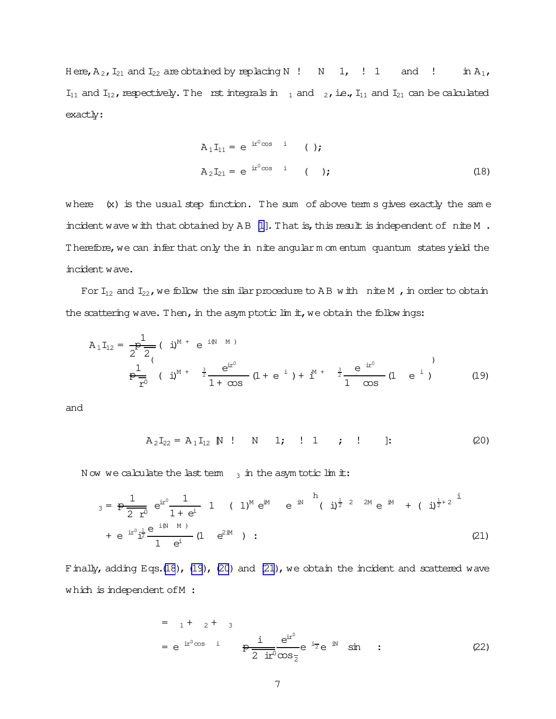Here,  $A_2$ ,  $I_{21}$  and  $I_{22}$  are obtained by replacing N  $\,$ ! N  $\,$  1,  $\,$  ! 1 and ! in  $A_1$ ,  $I_{11}$  and  $I_{12}$ , respectively. The rst integrals in  $I_1$  and  $I_2$ , i.e.,  $I_{11}$  and  $I_{21}$  can be calculated exactly:

$$
A_1I_{11} = e^{i r^0 \cos i}
$$
 ( );  
\n
$$
A_2I_{21} = e^{i r^0 \cos i}
$$
 ( ); (18)

where  $(x)$  is the usual step function. The sum of above term s gives exactly the same incident wave with that obtained by AB [1]. That is, this result is independent of nite M. Therefore, we can infer that only the in nite angular m om entum quantum states yield the incident wave.

For  $I_{12}$  and  $I_{22}$ , we follow the similar procedure to AB with nite M, in order to obtain the scattering wave. Then, in the asymptotic lim it, we obtain the followings:

$$
A_1 I_{12} = \frac{1}{2^{\frac{b}{2}}} (\begin{array}{c} j \end{array})^{M} + e^{i(N-M)}
$$
  
\n
$$
\frac{1}{2^{\frac{b}{2}}} (\begin{array}{c} j \end{array})^{M} + \frac{3}{2} \frac{e^{ir^{0}}}{1 + \infty} (1 + e^{-i}) + i^{M+1} \frac{3}{2} \frac{e^{-ir^{0}}}{1 - \infty} (1 - e^{-i})
$$
 (19)

and

$$
A_2I_{22} = A_1I_{12} \quad N \quad 1 \quad N \quad 1; \quad 1 \quad 2 \quad 1 \quad 3 \quad 20
$$

Now we calculate the last term  $_3$  in the asym totic limit:

$$
a_{3} = \frac{1}{2 \text{ r}^{0}} e^{i\text{r}^{0}} \frac{1}{1 + e^{i}} 1 (1)^{M} e^{iM} e^{iM} (i)^{\frac{1}{2} 2 M} e^{iM} + (i)^{\frac{1}{2}+2} i
$$
  
+  $e^{i\text{r}^{0}} i^{\frac{1}{2}} \frac{e^{i(M-M)}}{1 + e^{i}} (1 + e^{2iM})$  : (21)

Finally, adding Eqs.(18), (19), (20) and (21), we obtain the incident and scattered wave which is independent of M :

$$
= 1 + 2 + 3
$$
  
= e<sup>ir<sup>0</sup>cos i  $\frac{1}{2}$   $\frac{e^{ir^{0}}}{2 \pi^{0} \cos \pi} e^{i\pi} \sin$  ; (22)</sup>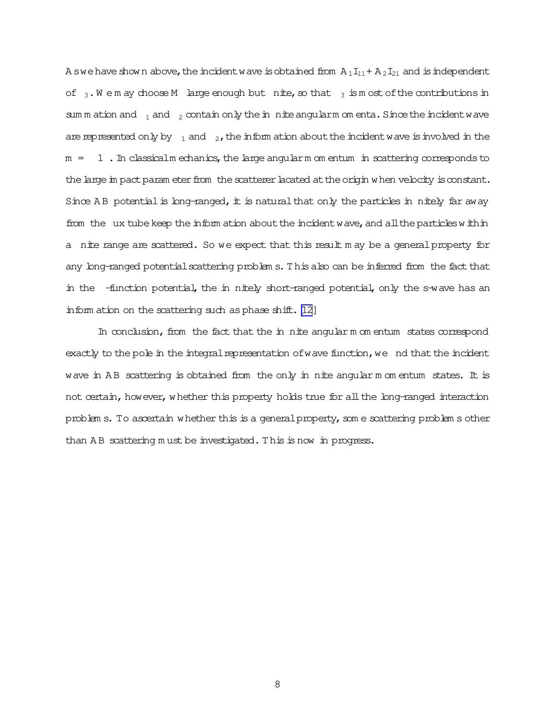A swe have shown above, the incident wave is obtained from  $A_1I_{11}+ A_2I_{21}$  and is independent of  $_3$ . We m ay choose M large enough but nite, so that  $_3$  is most of the contributions in sum m ation and  $_1$  and  $_2$  contain only the in nite angularm om enta. Since the incident wave are represented only by  $\frac{1}{1}$  and  $\frac{1}{2}$ , the inform ation about the incident wave is involved in the  $m = 1$ . In classicalm echanics, the large angularm om entum in scattering corresponds to the large in pact param eter from the scatterer lacated at the origin when velocity is constant. Since A B potential is long-ranged, it is natural that only the particles in nitely far away from the ux tube keep the inform ation about the incident wave, and all the particles within a nite range are scattered. So we expect that this result m ay be a generalproperty for any long-ranged potential scattering problem s. This also can be inferred from the fact that in the -function potential, the in nitely short-ranged potential, only the s-wave has an inform ation on the scattering such as phase shift. [\[12\]](#page-8-0)

In conclusion, from the fact that the in nite angular m om entum states correspond exactly to the pole in the integral representation of wave function, we nd that the incident wave in AB scattering is obtained from the only in nite angular m om entum states. It is not certain, however, whether this property holds true for all the long-ranged interaction problem s. To ascertain whether this is a general property, some scattering problem s other than AB scattering m ust be investigated. This is now in progress.

8